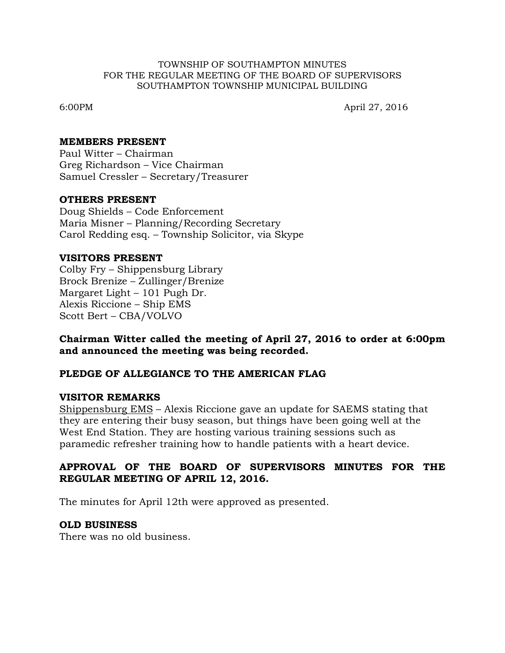#### TOWNSHIP OF SOUTHAMPTON MINUTES FOR THE REGULAR MEETING OF THE BOARD OF SUPERVISORS SOUTHAMPTON TOWNSHIP MUNICIPAL BUILDING

6:00PM April 27, 2016

### **MEMBERS PRESENT**

Paul Witter – Chairman Greg Richardson – Vice Chairman Samuel Cressler – Secretary/Treasurer

## **OTHERS PRESENT**

Doug Shields – Code Enforcement Maria Misner – Planning/Recording Secretary Carol Redding esq. – Township Solicitor, via Skype

### **VISITORS PRESENT**

Colby Fry – Shippensburg Library Brock Brenize – Zullinger/Brenize Margaret Light – 101 Pugh Dr. Alexis Riccione – Ship EMS Scott Bert – CBA/VOLVO

## **Chairman Witter called the meeting of April 27, 2016 to order at 6:00pm and announced the meeting was being recorded.**

### **PLEDGE OF ALLEGIANCE TO THE AMERICAN FLAG**

#### **VISITOR REMARKS**

Shippensburg EMS – Alexis Riccione gave an update for SAEMS stating that they are entering their busy season, but things have been going well at the West End Station. They are hosting various training sessions such as paramedic refresher training how to handle patients with a heart device.

## **APPROVAL OF THE BOARD OF SUPERVISORS MINUTES FOR THE REGULAR MEETING OF APRIL 12, 2016.**

The minutes for April 12th were approved as presented.

#### **OLD BUSINESS**

There was no old business.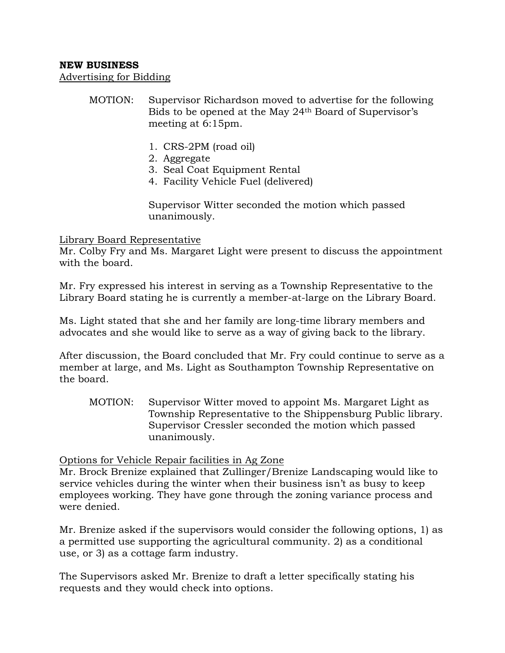# **NEW BUSINESS**

Advertising for Bidding

- MOTION: Supervisor Richardson moved to advertise for the following Bids to be opened at the May 24th Board of Supervisor's meeting at 6:15pm.
	- 1. CRS-2PM (road oil)
	- 2. Aggregate
	- 3. Seal Coat Equipment Rental
	- 4. Facility Vehicle Fuel (delivered)

Supervisor Witter seconded the motion which passed unanimously.

## Library Board Representative

Mr. Colby Fry and Ms. Margaret Light were present to discuss the appointment with the board.

Mr. Fry expressed his interest in serving as a Township Representative to the Library Board stating he is currently a member-at-large on the Library Board.

Ms. Light stated that she and her family are long-time library members and advocates and she would like to serve as a way of giving back to the library.

After discussion, the Board concluded that Mr. Fry could continue to serve as a member at large, and Ms. Light as Southampton Township Representative on the board.

MOTION: Supervisor Witter moved to appoint Ms. Margaret Light as Township Representative to the Shippensburg Public library. Supervisor Cressler seconded the motion which passed unanimously.

Options for Vehicle Repair facilities in Ag Zone

Mr. Brock Brenize explained that Zullinger/Brenize Landscaping would like to service vehicles during the winter when their business isn't as busy to keep employees working. They have gone through the zoning variance process and were denied.

Mr. Brenize asked if the supervisors would consider the following options, 1) as a permitted use supporting the agricultural community. 2) as a conditional use, or 3) as a cottage farm industry.

The Supervisors asked Mr. Brenize to draft a letter specifically stating his requests and they would check into options.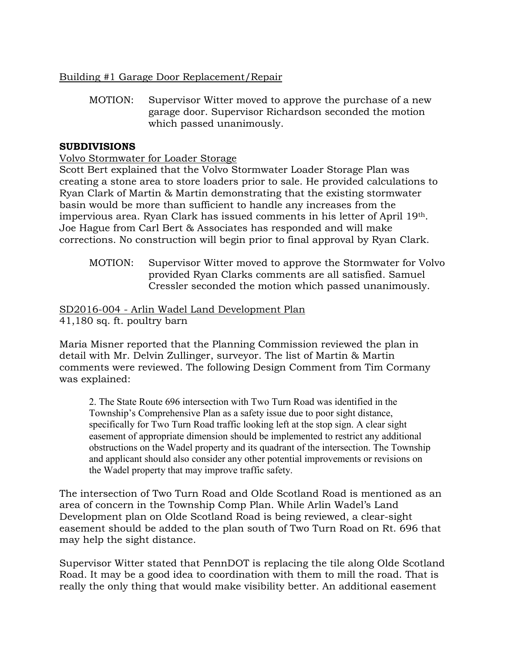# Building #1 Garage Door Replacement/Repair

MOTION: Supervisor Witter moved to approve the purchase of a new garage door. Supervisor Richardson seconded the motion which passed unanimously.

## **SUBDIVISIONS**

# Volvo Stormwater for Loader Storage

Scott Bert explained that the Volvo Stormwater Loader Storage Plan was creating a stone area to store loaders prior to sale. He provided calculations to Ryan Clark of Martin & Martin demonstrating that the existing stormwater basin would be more than sufficient to handle any increases from the impervious area. Ryan Clark has issued comments in his letter of April 19th. Joe Hague from Carl Bert & Associates has responded and will make corrections. No construction will begin prior to final approval by Ryan Clark.

MOTION: Supervisor Witter moved to approve the Stormwater for Volvo provided Ryan Clarks comments are all satisfied. Samuel Cressler seconded the motion which passed unanimously.

SD2016-004 - Arlin Wadel Land Development Plan 41,180 sq. ft. poultry barn

Maria Misner reported that the Planning Commission reviewed the plan in detail with Mr. Delvin Zullinger, surveyor. The list of Martin & Martin comments were reviewed. The following Design Comment from Tim Cormany was explained:

2. The State Route 696 intersection with Two Turn Road was identified in the Township's Comprehensive Plan as a safety issue due to poor sight distance, specifically for Two Turn Road traffic looking left at the stop sign. A clear sight easement of appropriate dimension should be implemented to restrict any additional obstructions on the Wadel property and its quadrant of the intersection. The Township and applicant should also consider any other potential improvements or revisions on the Wadel property that may improve traffic safety.

The intersection of Two Turn Road and Olde Scotland Road is mentioned as an area of concern in the Township Comp Plan. While Arlin Wadel's Land Development plan on Olde Scotland Road is being reviewed, a clear-sight easement should be added to the plan south of Two Turn Road on Rt. 696 that may help the sight distance.

Supervisor Witter stated that PennDOT is replacing the tile along Olde Scotland Road. It may be a good idea to coordination with them to mill the road. That is really the only thing that would make visibility better. An additional easement